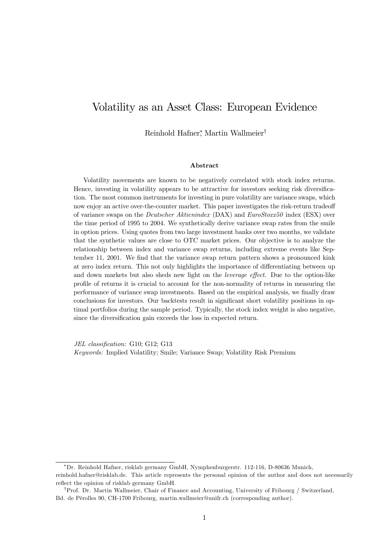# Volatility as an Asset Class: European Evidence

Reinhold Hafner<sup>∗</sup> , Martin Wallmeier†

#### Abstract

Volatility movements are known to be negatively correlated with stock index returns. Hence, investing in volatility appears to be attractive for investors seeking risk diversification. The most common instruments for investing in pure volatility are variance swaps, which now enjoy an active over-the-counter market. This paper investigates the risk-return tradeoff of variance swaps on the Deutscher Aktienindex (DAX) and EuroStoxx50 index (ESX) over the time period of 1995 to 2004. We synthetically derive variance swap rates from the smile in option prices. Using quotes from two large investment banks over two months, we validate that the synthetic values are close to OTC market prices. Our objective is to analyze the relationship between index and variance swap returns, including extreme events like September 11, 2001. We find that the variance swap return pattern shows a pronounced kink at zero index return. This not only highlights the importance of differentiating between up and down markets but also sheds new light on the leverage effect. Due to the option-like profile of returns it is crucial to account for the non-normality of returns in measuring the performance of variance swap investments. Based on the empirical analysis, we finally draw conclusions for investors. Our backtests result in significant short volatility positions in optimal portfolios during the sample period. Typically, the stock index weight is also negative, since the diversification gain exceeds the loss in expected return.

JEL classification: G10; G12; G13

Keywords: Implied Volatility; Smile; Variance Swap; Volatility Risk Premium

<sup>∗</sup>Dr. Reinhold Hafner, risklab germany GmbH, Nymphenburgerstr. 112-116, D-80636 Munich, reinhold.hafner@risklab.de. This article represents the personal opinion of the author and does not necessarily reflect the opinion of risklab germany GmbH.

<sup>†</sup>Prof. Dr. Martin Wallmeier, Chair of Finance and Accounting, University of Fribourg / Switzerland, Bd. de Pérolles 90, CH-1700 Fribourg, martin.wallmeier@unifr.ch (corresponding author).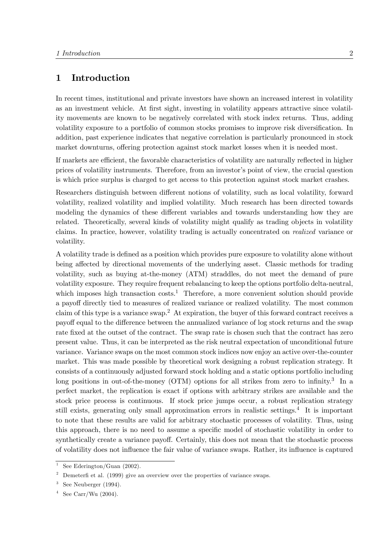# 1 Introduction

In recent times, institutional and private investors have shown an increased interest in volatility as an investment vehicle. At first sight, investing in volatility appears attractive since volatility movements are known to be negatively correlated with stock index returns. Thus, adding volatility exposure to a portfolio of common stocks promises to improve risk diversification. In addition, past experience indicates that negative correlation is particularly pronounced in stock market downturns, offering protection against stock market losses when it is needed most.

If markets are efficient, the favorable characteristics of volatility are naturally reflected in higher prices of volatility instruments. Therefore, from an investor's point of view, the crucial question is which price surplus is charged to get access to this protection against stock market crashes.

Researchers distinguish between different notions of volatility, such as local volatility, forward volatility, realized volatility and implied volatility. Much research has been directed towards modeling the dynamics of these different variables and towards understanding how they are related. Theoretically, several kinds of volatility might qualify as trading objects in volatility claims. In practice, however, volatility trading is actually concentrated on realized variance or volatility.

A volatility trade is defined as a position which provides pure exposure to volatility alone without being affected by directional movements of the underlying asset. Classic methods for trading volatility, such as buying at-the-money (ATM) straddles, do not meet the demand of pure volatility exposure. They require frequent rebalancing to keep the options portfolio delta-neutral, which imposes high transaction costs.<sup>1</sup> Therefore, a more convenient solution should provide a payoff directly tied to measures of realized variance or realized volatility. The most common claim of this type is a variance swap.<sup>2</sup> At expiration, the buyer of this forward contract receives a payoff equal to the difference between the annualized variance of log stock returns and the swap rate fixed at the outset of the contract. The swap rate is chosen such that the contract has zero present value. Thus, it can be interpreted as the risk neutral expectation of unconditional future variance. Variance swaps on the most common stock indices now enjoy an active over-the-counter market. This was made possible by theoretical work designing a robust replication strategy. It consists of a continuously adjusted forward stock holding and a static options portfolio including long positions in out-of-the-money (OTM) options for all strikes from zero to infinity.<sup>3</sup> In a perfect market, the replication is exact if options with arbitrary strikes are available and the stock price process is continuous. If stock price jumps occur, a robust replication strategy still exists, generating only small approximation errors in realistic settings.<sup>4</sup> It is important to note that these results are valid for arbitrary stochastic processes of volatility. Thus, using this approach, there is no need to assume a specific model of stochastic volatility in order to synthetically create a variance payoff. Certainly, this does not mean that the stochastic process of volatility does not influence the fair value of variance swaps. Rather, its influence is captured

<sup>&</sup>lt;sup>1</sup> See Ederington/Guan  $(2002)$ .

 $2$  Demeterfi et al. (1999) give an overview over the properties of variance swaps.

 $3$  See Neuberger (1994).

 $4$  See Carr/Wu (2004).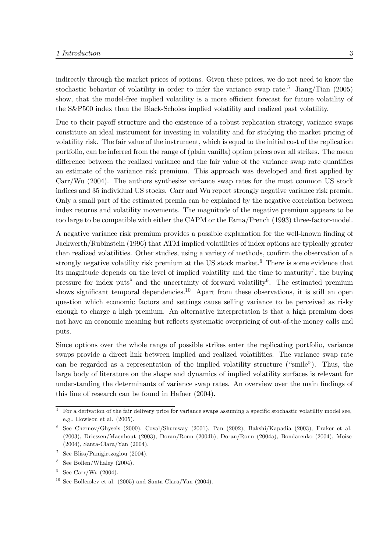indirectly through the market prices of options. Given these prices, we do not need to know the stochastic behavior of volatility in order to infer the variance swap rate.<sup>5</sup> Jiang/Tian (2005) show, that the model-free implied volatility is a more efficient forecast for future volatility of the S&P500 index than the Black-Scholes implied volatility and realized past volatility.

Due to their payoff structure and the existence of a robust replication strategy, variance swaps constitute an ideal instrument for investing in volatility and for studying the market pricing of volatility risk. The fair value of the instrument, which is equal to the initial cost of the replication portfolio, can be inferred from the range of (plain vanilla) option prices over all strikes. The mean difference between the realized variance and the fair value of the variance swap rate quantifies an estimate of the variance risk premium. This approach was developed and first applied by Carr/Wu (2004). The authors synthesize variance swap rates for the most common US stock indices and 35 individual US stocks. Carr and Wu report strongly negative variance risk premia. Only a small part of the estimated premia can be explained by the negative correlation between index returns and volatility movements. The magnitude of the negative premium appears to be too large to be compatible with either the CAPM or the Fama/French (1993) three-factor-model.

A negative variance risk premium provides a possible explanation for the well-known finding of Jackwerth/Rubinstein (1996) that ATM implied volatilities of index options are typically greater than realized volatilities. Other studies, using a variety of methods, confirm the observation of a strongly negative volatility risk premium at the US stock market.<sup>6</sup> There is some evidence that its magnitude depends on the level of implied volatility and the time to maturity<sup>7</sup>, the buying pressure for index puts<sup>8</sup> and the uncertainty of forward volatility<sup>9</sup>. The estimated premium shows significant temporal dependencies.<sup>10</sup> Apart from these observations, it is still an open question which economic factors and settings cause selling variance to be perceived as risky enough to charge a high premium. An alternative interpretation is that a high premium does not have an economic meaning but reflects systematic overpricing of out-of-the money calls and puts.

Since options over the whole range of possible strikes enter the replicating portfolio, variance swaps provide a direct link between implied and realized volatilities. The variance swap rate can be regarded as a representation of the implied volatility structure ("smile"). Thus, the large body of literature on the shape and dynamics of implied volatility surfaces is relevant for understanding the determinants of variance swap rates. An overview over the main findings of this line of research can be found in Hafner (2004).

 $5$  For a derivation of the fair delivery price for variance swaps assuming a specific stochastic volatility model see, e.g., Howison et al. (2005).

<sup>6</sup> See Chernov/Ghysels (2000), Coval/Shumway (2001), Pan (2002), Bakshi/Kapadia (2003), Eraker et al. (2003), Driessen/Maenhout (2003), Doran/Ronn (2004b), Doran/Ronn (2004a), Bondarenko (2004), Moise (2004), Santa-Clara/Yan (2004).

<sup>7</sup> See Bliss/Panigirtzoglou (2004).

<sup>8</sup> See Bollen/Whaley (2004).

<sup>&</sup>lt;sup>9</sup> See Carr/Wu (2004).

<sup>&</sup>lt;sup>10</sup> See Bollerslev et al.  $(2005)$  and Santa-Clara/Yan  $(2004)$ .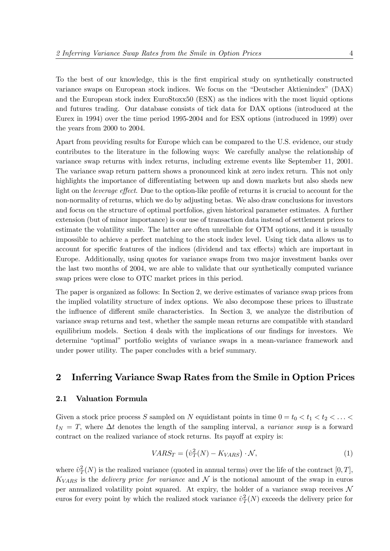To the best of our knowledge, this is the first empirical study on synthetically constructed variance swaps on European stock indices. We focus on the "Deutscher Aktienindex" (DAX) and the European stock index EuroStoxx50 (ESX) as the indices with the most liquid options and futures trading. Our database consists of tick data for DAX options (introduced at the Eurex in 1994) over the time period 1995-2004 and for ESX options (introduced in 1999) over the years from 2000 to 2004.

Apart from providing results for Europe which can be compared to the U.S. evidence, our study contributes to the literature in the following ways: We carefully analyse the relationship of variance swap returns with index returns, including extreme events like September 11, 2001. The variance swap return pattern shows a pronounced kink at zero index return. This not only highlights the importance of differentiating between up and down markets but also sheds new light on the leverage effect. Due to the option-like profile of returns it is crucial to account for the non-normality of returns, which we do by adjusting betas. We also draw conclusions for investors and focus on the structure of optimal portfolios, given historical parameter estimates. A further extension (but of minor importance) is our use of transaction data instead of settlement prices to estimate the volatility smile. The latter are often unreliable for OTM options, and it is usually impossible to achieve a perfect matching to the stock index level. Using tick data allows us to account for specific features of the indices (dividend and tax effects) which are important in Europe. Additionally, using quotes for variance swaps from two major investment banks over the last two months of 2004, we are able to validate that our synthetically computed variance swap prices were close to OTC market prices in this period.

The paper is organized as follows: In Section 2, we derive estimates of variance swap prices from the implied volatility structure of index options. We also decompose these prices to illustrate the influence of different smile characteristics. In Section 3, we analyze the distribution of variance swap returns and test, whether the sample mean returns are compatible with standard equilibrium models. Section 4 deals with the implications of our findings for investors. We determine "optimal" portfolio weights of variance swaps in a mean-variance framework and under power utility. The paper concludes with a brief summary.

# 2 Inferring Variance Swap Rates from the Smile in Option Prices

# 2.1 Valuation Formula

Given a stock price process S sampled on N equidistant points in time  $0 = t_0 < t_1 < t_2 < \ldots <$  $t_N = T$ , where  $\Delta t$  denotes the length of the sampling interval, a variance swap is a forward contract on the realized variance of stock returns. Its payoff at expiry is:

$$
VARS_T = (\hat{v}_T^2(N) - K_{VARS}) \cdot \mathcal{N},\tag{1}
$$

where  $\hat{v}_T^2(N)$  is the realized variance (quoted in annual terms) over the life of the contract  $[0, T]$ ,  $K_{VARS}$  is the *delivery price for variance* and  $\mathcal N$  is the notional amount of the swap in euros per annualized volatility point squared. At expiry, the holder of a variance swap receives  $\mathcal N$ euros for every point by which the realized stock variance  $\hat{v}_T^2(N)$  exceeds the delivery price for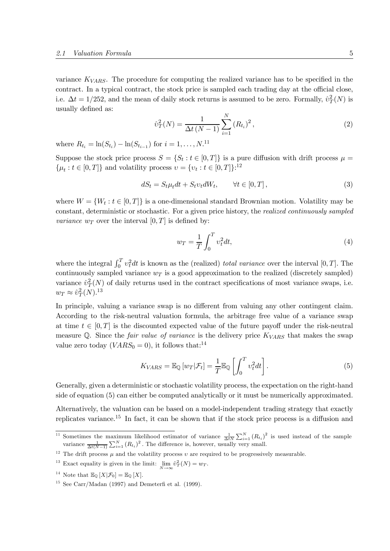variance  $K_{VARS}$ . The procedure for computing the realized variance has to be specified in the contract. In a typical contract, the stock price is sampled each trading day at the official close, i.e.  $\Delta t = 1/252$ , and the mean of daily stock returns is assumed to be zero. Formally,  $\hat{v}_T^2(N)$  is usually defined as:

$$
\hat{v}_T^2(N) = \frac{1}{\Delta t (N-1)} \sum_{i=1}^N (R_{t_i})^2, \qquad (2)
$$

where  $R_{t_i} = \ln(S_{t_i}) - \ln(S_{t_{i-1}})$  for  $i = 1, ..., N$ .<sup>11</sup>

Suppose the stock price process  $S = \{S_t : t \in [0,T]\}$  is a pure diffusion with drift process  $\mu =$  $\{\mu_t : t \in [0, T]\}$  and volatility process  $v = \{v_t : t \in [0, T]\}$ <sup>12</sup>

$$
dS_t = S_t \mu_t dt + S_t v_t dW_t, \qquad \forall t \in [0, T], \qquad (3)
$$

where  $W = \{W_t : t \in [0, T]\}$  is a one-dimensional standard Brownian motion. Volatility may be constant, deterministic or stochastic. For a given price history, the realized continuously sampled variance  $w_T$  over the interval  $[0, T]$  is defined by:

$$
w_T = \frac{1}{T} \int_0^T v_t^2 dt,\tag{4}
$$

where the integral  $\int_0^T v_t^2 dt$  is known as the (realized) total variance over the interval [0, T]. The continuously sampled variance  $w_T$  is a good approximation to the realized (discretely sampled) variance  $\hat{v}_T^2(N)$  of daily returns used in the contract specifications of most variance swaps, i.e.  $w_T \approx \hat{v}_T^2(N).^{13}$ 

In principle, valuing a variance swap is no different from valuing any other contingent claim. According to the risk-neutral valuation formula, the arbitrage free value of a variance swap at time  $t \in [0, T]$  is the discounted expected value of the future payoff under the risk-neutral measure Q. Since the *fair value of variance* is the delivery price  $K_{VARS}$  that makes the swap value zero today  $(VARS_0 = 0)$ , it follows that:<sup>14</sup>

$$
K_{VARS} = \mathbb{E}_{\mathbb{Q}} \left[ w_T | \mathcal{F}_t \right] = \frac{1}{T} \mathbb{E}_{\mathbb{Q}} \left[ \int_0^T v_t^2 dt \right]. \tag{5}
$$

Generally, given a deterministic or stochastic volatility process, the expectation on the right-hand side of equation (5) can either be computed analytically or it must be numerically approximated.

Alternatively, the valuation can be based on a model-independent trading strategy that exactly replicates variance.<sup>15</sup> In fact, it can be shown that if the stock price process is a diffusion and

<sup>&</sup>lt;sup>11</sup> Sometimes the maximum likelihood estimator of variance  $\frac{1}{\Delta t N} \sum_{i=1}^{N} (R_{t_i})^2$  is used instead of the sample variance  $\frac{1}{\Delta t(N-1)}\sum_{i=1}^{N} (R_{t_i})^2$ . The difference is, however, usually very small.

<sup>&</sup>lt;sup>12</sup> The drift process  $\mu$  and the volatility process  $v$  are required to be progressively measurable.

<sup>&</sup>lt;sup>13</sup> Exact equality is given in the limit:  $\lim_{N \to \infty} \hat{v}_T^2(N) = w_T$ .

<sup>&</sup>lt;sup>14</sup> Note that  $\mathbb{E}_{\mathbb{Q}}[X|\mathcal{F}_0] = \mathbb{E}_{\mathbb{Q}}[X]$ .

<sup>&</sup>lt;sup>15</sup> See Carr/Madan (1997) and Demeterfi et al. (1999).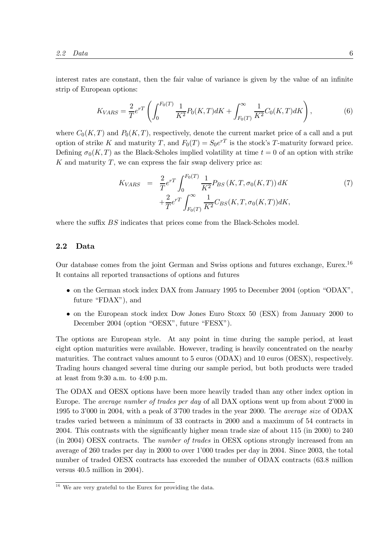interest rates are constant, then the fair value of variance is given by the value of an infinite strip of European options:

$$
K_{VARS} = \frac{2}{T} e^{rT} \left( \int_0^{F_0(T)} \frac{1}{K^2} P_0(K, T) dK + \int_{F_0(T)}^{\infty} \frac{1}{K^2} C_0(K, T) dK \right),\tag{6}
$$

where  $C_0(K,T)$  and  $P_0(K,T)$ , respectively, denote the current market price of a call and a put option of strike K and maturity T, and  $F_0(T) = S_0 e^{rT}$  is the stock's T-maturity forward price. Defining  $\sigma_0(K,T)$  as the Black-Scholes implied volatility at time  $t = 0$  of an option with strike  $K$  and maturity  $T$ , we can express the fair swap delivery price as:

$$
K_{VARS} = \frac{2}{T} e^{rT} \int_0^{F_0(T)} \frac{1}{K^2} P_{BS}(K, T, \sigma_0(K, T)) dK + \frac{2}{T} e^{rT} \int_{F_0(T)}^{\infty} \frac{1}{K^2} C_{BS}(K, T, \sigma_0(K, T)) dK,
$$
 (7)

where the suffix  $BS$  indicates that prices come from the Black-Scholes model.

## 2.2 Data

Our database comes from the joint German and Swiss options and futures exchange, Eurex.<sup>16</sup> It contains all reported transactions of options and futures

- on the German stock index DAX from January 1995 to December 2004 (option "ODAX", future "FDAX"), and
- on the European stock index Dow Jones Euro Stoxx 50 (ESX) from January 2000 to December 2004 (option "OESX", future "FESX").

The options are European style. At any point in time during the sample period, at least eight option maturities were available. However, trading is heavily concentrated on the nearby maturities. The contract values amount to 5 euros (ODAX) and 10 euros (OESX), respectively. Trading hours changed several time during our sample period, but both products were traded at least from 9:30 a.m. to 4:00 p.m.

The ODAX and OESX options have been more heavily traded than any other index option in Europe. The average number of trades per day of all DAX options went up from about 2'000 in 1995 to 3'000 in 2004, with a peak of 3'700 trades in the year 2000. The average size of ODAX trades varied between a minimum of 33 contracts in 2000 and a maximum of 54 contracts in 2004. This contrasts with the significantly higher mean trade size of about 115 (in 2000) to 240 (in 2004) OESX contracts. The number of trades in OESX options strongly increased from an average of 260 trades per day in 2000 to over 1'000 trades per day in 2004. Since 2003, the total number of traded OESX contracts has exceeded the number of ODAX contracts (63.8 million versus 40.5 million in 2004).

 $\frac{16}{16}$  We are very grateful to the Eurex for providing the data.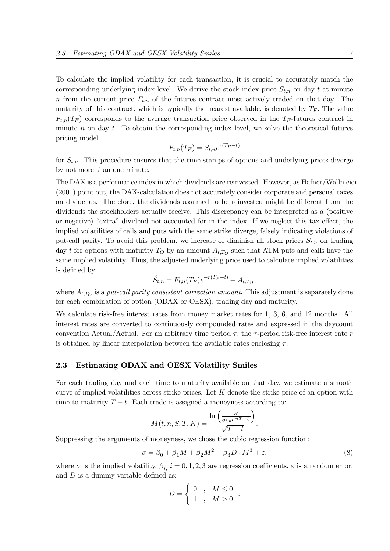To calculate the implied volatility for each transaction, it is crucial to accurately match the corresponding underlying index level. We derive the stock index price  $S_{t,n}$  on day t at minute n from the current price  $F_{t,n}$  of the futures contract most actively traded on that day. The maturity of this contract, which is typically the nearest available, is denoted by  $T_F$ . The value  $F_{t,n}(T_F)$  corresponds to the average transaction price observed in the  $T_F$ -futures contract in minute  $n$  on day  $t$ . To obtain the corresponding index level, we solve the theoretical futures pricing model

$$
F_{t,n}(T_F) = S_{t,n}e^{r(T_F - t)}
$$

for  $S_{t,n}$ . This procedure ensures that the time stamps of options and underlying prices diverge by not more than one minute.

The DAX is a performance index in which dividends are reinvested. However, as Hafner/Wallmeier (2001) point out, the DAX-calculation does not accurately consider corporate and personal taxes on dividends. Therefore, the dividends assumed to be reinvested might be different from the dividends the stockholders actually receive. This discrepancy can be interpreted as a (positive or negative) "extra" dividend not accounted for in the index. If we neglect this tax effect, the implied volatilities of calls and puts with the same strike diverge, falsely indicating violations of put-call parity. To avoid this problem, we increase or diminish all stock prices  $S_{t,n}$  on trading day t for options with maturity  $T_O$  by an amount  $A_{t,T_O}$  such that ATM puts and calls have the same implied volatility. Thus, the adjusted underlying price used to calculate implied volatilities is defined by:

$$
\check{S}_{t,n} = F_{t,n}(T_F)e^{-r(T_F - t)} + A_{t,T_O},
$$

where  $A_{t,T_O}$  is a put-call parity consistent correction amount. This adjustment is separately done for each combination of option (ODAX or OESX), trading day and maturity.

We calculate risk-free interest rates from money market rates for 1, 3, 6, and 12 months. All interest rates are converted to continuously compounded rates and expressed in the daycount convention Actual/Actual. For an arbitrary time period  $\tau$ , the  $\tau$ -period risk-free interest rate r is obtained by linear interpolation between the available rates enclosing  $\tau$ .

### 2.3 Estimating ODAX and OESX Volatility Smiles

For each trading day and each time to maturity available on that day, we estimate a smooth curve of implied volatilities across strike prices. Let  $K$  denote the strike price of an option with time to maturity  $T - t$ . Each trade is assigned a moneyness according to:

$$
M(t, n, S, T, K) = \frac{\ln\left(\frac{K}{\tilde{S}_{t, n}e^{r(T-t)}}\right)}{\sqrt{T-t}}.
$$

Suppressing the arguments of moneyness, we chose the cubic regression function:

$$
\sigma = \beta_0 + \beta_1 M + \beta_2 M^2 + \beta_3 D \cdot M^3 + \varepsilon,\tag{8}
$$

.

where  $\sigma$  is the implied volatility,  $\beta_i$ ,  $i = 0, 1, 2, 3$  are regression coefficients,  $\varepsilon$  is a random error, and  $D$  is a dummy variable defined as:

$$
D = \left\{ \begin{array}{ll} 0 & , & M \leq 0 \\ 1 & , & M > 0 \end{array} \right.
$$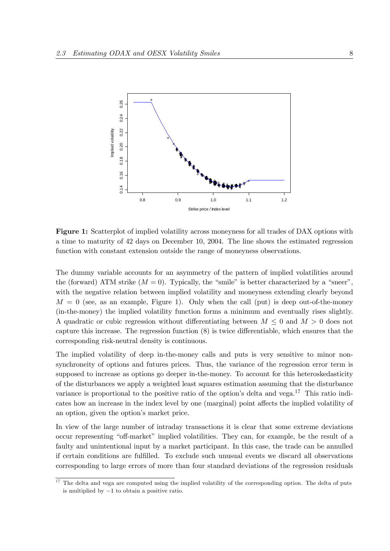

Figure 1: Scatterplot of implied volatility across moneyness for all trades of DAX options with a time to maturity of 42 days on December 10, 2004. The line shows the estimated regression function with constant extension outside the range of moneyness observations.

The dummy variable accounts for an asymmetry of the pattern of implied volatilities around the (forward) ATM strike  $(M = 0)$ . Typically, the "smile" is better characterized by a "sneer", with the negative relation between implied volatility and moneyness extending clearly beyond  $M = 0$  (see, as an example, Figure 1). Only when the call (put) is deep out-of-the-money (in-the-money) the implied volatility function forms a minimum and eventually rises slightly. A quadratic or cubic regression without differentiating between  $M \leq 0$  and  $M > 0$  does not capture this increase. The regression function (8) is twice differentiable, which ensures that the corresponding risk-neutral density is continuous.

The implied volatility of deep in-the-money calls and puts is very sensitive to minor nonsynchroneity of options and futures prices. Thus, the variance of the regression error term is supposed to increase as options go deeper in-the-money. To account for this heteroskedasticity of the disturbances we apply a weighted least squares estimation assuming that the disturbance variance is proportional to the positive ratio of the option's delta and vega.<sup>17</sup> This ratio indicates how an increase in the index level by one (marginal) point affects the implied volatility of an option, given the option's market price.

In view of the large number of intraday transactions it is clear that some extreme deviations occur representing "off-market" implied volatilities. They can, for example, be the result of a faulty and unintentional input by a market participant. In this case, the trade can be annulled if certain conditions are fulfilled. To exclude such unusual events we discard all observations corresponding to large errors of more than four standard deviations of the regression residuals

 $17$  The delta and vega are computed using the implied volatility of the corresponding option. The delta of puts is multiplied by −1 to obtain a positive ratio.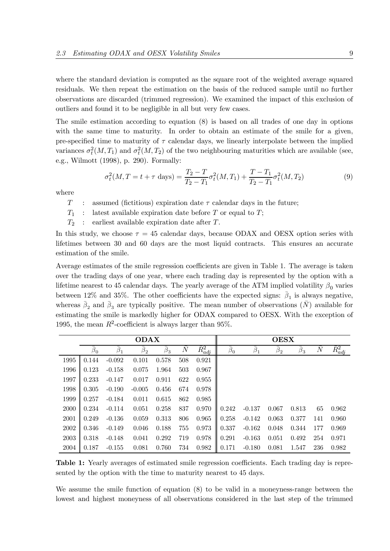where the standard deviation is computed as the square root of the weighted average squared residuals. We then repeat the estimation on the basis of the reduced sample until no further observations are discarded (trimmed regression). We examined the impact of this exclusion of outliers and found it to be negligible in all but very few cases.

The smile estimation according to equation (8) is based on all trades of one day in options with the same time to maturity. In order to obtain an estimate of the smile for a given, pre-specified time to maturity of  $\tau$  calendar days, we linearly interpolate between the implied variances  $\sigma_t^2(M, T_1)$  and  $\sigma_t^2(M, T_2)$  of the two neighbouring maturities which are available (see, e.g., Wilmott (1998), p. 290). Formally:

$$
\sigma_t^2(M, T = t + \tau \text{ days}) = \frac{T_2 - T}{T_2 - T_1} \sigma_t^2(M, T_1) + \frac{T - T_1}{T_2 - T_1} \sigma_t^2(M, T_2)
$$
(9)

where

T : assumed (fictitious) expiration date  $\tau$  calendar days in the future;

 $T_1$ : latest available expiration date before T or equal to T;

 $T_2$  : earliest available expiration date after T.

In this study, we choose  $\tau = 45$  calendar days, because ODAX and OESX option series with lifetimes between 30 and 60 days are the most liquid contracts. This ensures an accurate estimation of the smile.

Average estimates of the smile regression coefficients are given in Table 1. The average is taken over the trading days of one year, where each trading day is represented by the option with a lifetime nearest to 45 calendar days. The yearly average of the ATM implied volatility  $\beta_0$  varies between 12% and 35%. The other coefficients have the expected signs:  $\bar{\beta}_1$  is always negative, whereas  $\bar{\beta}_2$  and  $\bar{\beta}_3$  are typically positive. The mean number of observations  $(\bar{N})$  available for estimating the smile is markedly higher for ODAX compared to OESX. With the exception of 1995, the mean  $R^2$ -coefficient is always larger than 95%.

| <b>ODAX</b> |                 |           |           |                 |          |                   |                 |           | <b>OESX</b> |                 |                |                   |
|-------------|-----------------|-----------|-----------|-----------------|----------|-------------------|-----------------|-----------|-------------|-----------------|----------------|-------------------|
|             | $\bar{\beta}_0$ | $\beta_1$ | $\beta_2$ | $\bar{\beta}_3$ | $\cal N$ | $\bar{R}_{adj}^2$ | $\bar{\beta}_0$ | $\beta_1$ | $\beta_2$   | $\bar{\beta}_3$ | $\overline{N}$ | $\bar{R}_{adj}^2$ |
| 1995        | 0.144           | $-0.092$  | 0.101     | 0.578           | 508      | 0.921             |                 |           |             |                 |                |                   |
| 1996        | 0.123           | $-0.158$  | 0.075     | 1.964           | 503      | 0.967             |                 |           |             |                 |                |                   |
| 1997        | 0.233           | $-0.147$  | 0.017     | 0.911           | 622      | 0.955             |                 |           |             |                 |                |                   |
| 1998        | 0.305           | $-0.190$  | $-0.005$  | 0.456           | 674      | 0.978             |                 |           |             |                 |                |                   |
| 1999        | 0.257           | $-0.184$  | 0.011     | 0.615           | 862      | 0.985             |                 |           |             |                 |                |                   |
| 2000        | 0.234           | $-0.114$  | 0.051     | 0.258           | 837      | 0.970             | 0.242           | $-0.137$  | 0.067       | 0.813           | 65             | 0.962             |
| 2001        | 0.249           | $-0.136$  | 0.059     | 0.313           | 806      | 0.965             | 0.258           | $-0.142$  | 0.063       | 0.377           | 141            | 0.960             |
| 2002        | 0.346           | $-0.149$  | 0.046     | 0.188           | 755      | 0.973             | 0.337           | $-0.162$  | 0.048       | 0.344           | 177            | 0.969             |
| 2003        | 0.318           | $-0.148$  | 0.041     | 0.292           | 719      | 0.978             | 0.291           | $-0.163$  | 0.051       | 0.492           | 254            | 0.971             |
| 2004        | 0.187           | $-0.155$  | 0.081     | 0.760           | 734      | 0.982             | 0.171           | $-0.180$  | 0.081       | 1.547           | 236            | 0.982             |

Table 1: Yearly averages of estimated smile regression coefficients. Each trading day is represented by the option with the time to maturity nearest to 45 days.

We assume the smile function of equation (8) to be valid in a moneyness-range between the lowest and highest moneyness of all observations considered in the last step of the trimmed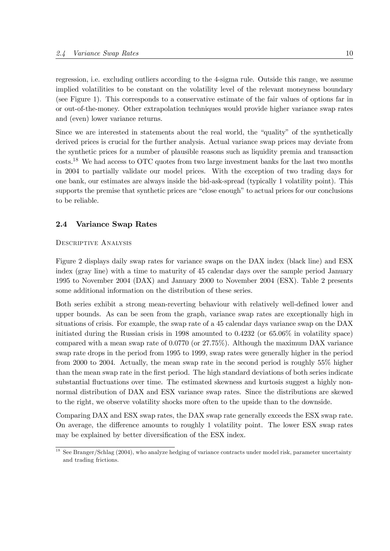regression, i.e. excluding outliers according to the 4-sigma rule. Outside this range, we assume implied volatilities to be constant on the volatility level of the relevant moneyness boundary (see Figure 1). This corresponds to a conservative estimate of the fair values of options far in or out-of-the-money. Other extrapolation techniques would provide higher variance swap rates and (even) lower variance returns.

Since we are interested in statements about the real world, the "quality" of the synthetically derived prices is crucial for the further analysis. Actual variance swap prices may deviate from the synthetic prices for a number of plausible reasons such as liquidity premia and transaction costs.<sup>18</sup> We had access to OTC quotes from two large investment banks for the last two months in 2004 to partially validate our model prices. With the exception of two trading days for one bank, our estimates are always inside the bid-ask-spread (typically 1 volatility point). This supports the premise that synthetic prices are "close enough" to actual prices for our conclusions to be reliable.

### 2.4 Variance Swap Rates

## DESCRIPTIVE ANALYSIS

Figure 2 displays daily swap rates for variance swaps on the DAX index (black line) and ESX index (gray line) with a time to maturity of 45 calendar days over the sample period January 1995 to November 2004 (DAX) and January 2000 to November 2004 (ESX). Table 2 presents some additional information on the distribution of these series.

Both series exhibit a strong mean-reverting behaviour with relatively well-defined lower and upper bounds. As can be seen from the graph, variance swap rates are exceptionally high in situations of crisis. For example, the swap rate of a 45 calendar days variance swap on the DAX initiated during the Russian crisis in 1998 amounted to 0.4232 (or 65.06% in volatility space) compared with a mean swap rate of 0.0770 (or 27.75%). Although the maximum DAX variance swap rate drops in the period from 1995 to 1999, swap rates were generally higher in the period from 2000 to 2004. Actually, the mean swap rate in the second period is roughly 55% higher than the mean swap rate in the first period. The high standard deviations of both series indicate substantial fluctuations over time. The estimated skewness and kurtosis suggest a highly nonnormal distribution of DAX and ESX variance swap rates. Since the distributions are skewed to the right, we observe volatility shocks more often to the upside than to the downside.

Comparing DAX and ESX swap rates, the DAX swap rate generally exceeds the ESX swap rate. On average, the difference amounts to roughly 1 volatility point. The lower ESX swap rates may be explained by better diversification of the ESX index.

 $\frac{18}{18}$  See Branger/Schlag (2004), who analyze hedging of variance contracts under model risk, parameter uncertainty and trading frictions.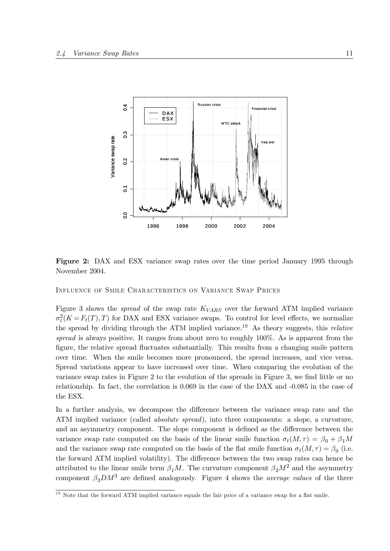

Figure 2: DAX and ESX variance swap rates over the time period January 1995 through November 2004.

INFLUENCE OF SMILE CHARACTERISTICS ON VARIANCE SWAP PRICES

Figure 3 shows the *spread* of the swap rate  $K_{VARS}$  over the forward ATM implied variance  $\sigma_t^2(K = F_t(T), T)$  for DAX and ESX variance swaps. To control for level effects, we normalize the spread by dividing through the ATM implied variance.<sup>19</sup> As theory suggests, this *relative* spread is always positive. It ranges from about zero to roughly 100%. As is apparent from the figure, the relative spread fluctuates substantially. This results from a changing smile pattern over time. When the smile becomes more pronounced, the spread increases, and vice versa. Spread variations appear to have increased over time. When comparing the evolution of the variance swap rates in Figure 2 to the evolution of the spreads in Figure 3, we find little or no relationship. In fact, the correlation is 0.069 in the case of the DAX and -0.085 in the case of the ESX.

In a further analysis, we decompose the difference between the variance swap rate and the ATM implied variance (called *absolute spread*), into three components: a slope, a curvature, and an asymmetry component. The slope component is defined as the difference between the variance swap rate computed on the basis of the linear smile function  $\sigma_t(M, \tau) = \beta_0 + \beta_1 M$ and the variance swap rate computed on the basis of the flat smile function  $\sigma_t(M, \tau) = \beta_0$  (i.e. the forward ATM implied volatility). The difference between the two swap rates can hence be attributed to the linear smile term  $\beta_1 M$ . The curvature component  $\beta_2 M^2$  and the asymmetry component  $\beta_3 DM^3$  are defined analogously. Figure 4 shows the *average values* of the three

 $19$  Note that the forward ATM implied variance equals the fair price of a variance swap for a flat smile.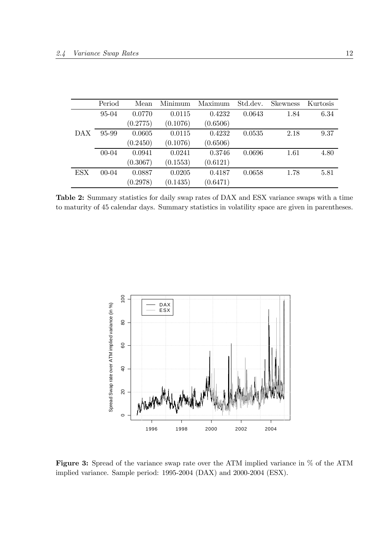|            | Period    | Mean     | Minimum  | Maximum  | Std.dev. | <b>Skewness</b> | Kurtosis |
|------------|-----------|----------|----------|----------|----------|-----------------|----------|
|            | 95-04     | 0.0770   | 0.0115   | 0.4232   | 0.0643   | 1.84            | 6.34     |
|            |           | (0.2775) | (0.1076) | (0.6506) |          |                 |          |
| <b>DAX</b> | 95-99     | 0.0605   | 0.0115   | 0.4232   | 0.0535   | 2.18            | 9.37     |
|            |           | (0.2450) | (0.1076) | (0.6506) |          |                 |          |
|            | $00-04$   | 0.0941   | 0.0241   | 0.3746   | 0.0696   | 1.61            | 4.80     |
|            |           | (0.3067) | (0.1553) | (0.6121) |          |                 |          |
| <b>ESX</b> | $00 - 04$ | 0.0887   | 0.0205   | 0.4187   | 0.0658   | 1.78            | 5.81     |
|            |           | (0.2978) | (0.1435) | (0.6471) |          |                 |          |

Table 2: Summary statistics for daily swap rates of DAX and ESX variance swaps with a time to maturity of 45 calendar days. Summary statistics in volatility space are given in parentheses.



Figure 3: Spread of the variance swap rate over the ATM implied variance in  $\%$  of the ATM implied variance. Sample period: 1995-2004 (DAX) and 2000-2004 (ESX).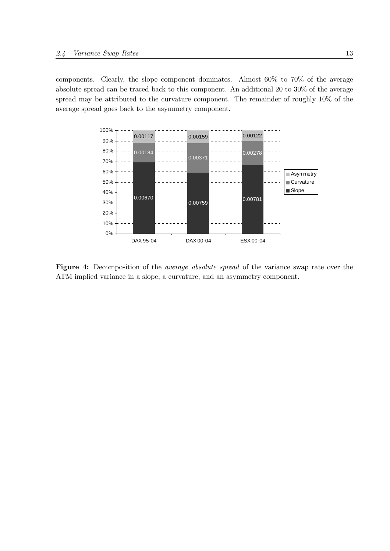components. Clearly, the slope component dominates. Almost 60% to 70% of the average absolute spread can be traced back to this component. An additional 20 to 30% of the average spread may be attributed to the curvature component. The remainder of roughly 10% of the average spread goes back to the asymmetry component.



Figure 4: Decomposition of the *average absolute spread* of the variance swap rate over the ATM implied variance in a slope, a curvature, and an asymmetry component.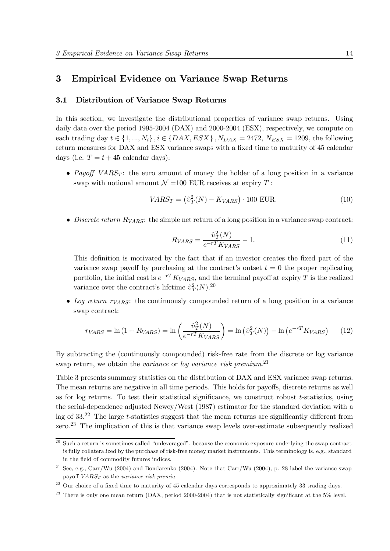# 3 Empirical Evidence on Variance Swap Returns

## 3.1 Distribution of Variance Swap Returns

In this section, we investigate the distributional properties of variance swap returns. Using daily data over the period 1995-2004 (DAX) and 2000-2004 (ESX), respectively, we compute on each trading day  $t \in \{1, ..., N_i\}$ ,  $i \in \{DAX, ESX\}$ ,  $N_{DAX} = 2472$ ,  $N_{ESX} = 1209$ , the following return measures for DAX and ESX variance swaps with a fixed time to maturity of 45 calendar days (i.e.  $T = t + 45$  calendar days):

• Payoff VARS<sub>T</sub>: the euro amount of money the holder of a long position in a variance swap with notional amount  $\mathcal{N} = 100$  EUR receives at expiry T:

$$
VARS_T = (\hat{v}_T^2(N) - K_{VARS}) \cdot 100 \text{ EUR.} \tag{10}
$$

• Discrete return  $R_{VARS}$ : the simple net return of a long position in a variance swap contract:

$$
R_{VARS} = \frac{\hat{v}_T^2(N)}{e^{-rT}K_{VARS}} - 1.
$$
\n(11)

This definition is motivated by the fact that if an investor creates the fixed part of the variance swap payoff by purchasing at the contract's outset  $t = 0$  the proper replicating portfolio, the initial cost is  $e^{-rT}K_{VARS}$ , and the terminal payoff at expiry T is the realized variance over the contract's lifetime  $\hat{v}_T^2(N)$ .<sup>20</sup>

• Log return  $r_{VARS}$ : the continuously compounded return of a long position in a variance swap contract:

$$
r_{VARS} = \ln\left(1 + R_{VARS}\right) = \ln\left(\frac{\hat{v}_T^2(N)}{e^{-rT}K_{VARS}}\right) = \ln\left(\hat{v}_T^2(N)\right) - \ln\left(e^{-rT}K_{VARS}\right) \tag{12}
$$

By subtracting the (continuously compounded) risk-free rate from the discrete or log variance swap return, we obtain the variance or log variance risk premium.<sup>21</sup>

Table 3 presents summary statistics on the distribution of DAX and ESX variance swap returns. The mean returns are negative in all time periods. This holds for payoffs, discrete returns as well as for log returns. To test their statistical significance, we construct robust t-statistics, using the serial-dependence adjusted Newey/West (1987) estimator for the standard deviation with a lag of 33.<sup>22</sup> The large t-statistics suggest that the mean returns are significantly different from zero.<sup>23</sup> The implication of this is that variance swap levels over-estimate subsequently realized

 $\frac{20}{20}$  Such a return is sometimes called "unleveraged", because the economic exposure underlying the swap contract is fully collateralized by the purchase of risk-free money market instruments. This terminology is, e.g., standard in the field of commodity futures indices.

<sup>&</sup>lt;sup>21</sup> See, e.g., Carr/Wu (2004) and Bondarenko (2004). Note that Carr/Wu (2004), p. 28 label the variance swap payoff  $VARS_T$  as the variance risk premia.

<sup>&</sup>lt;sup>22</sup> Our choice of a fixed time to maturity of 45 calendar days corresponds to approximately 33 trading days.

<sup>&</sup>lt;sup>23</sup> There is only one mean return (DAX, period 2000-2004) that is not statistically significant at the 5% level.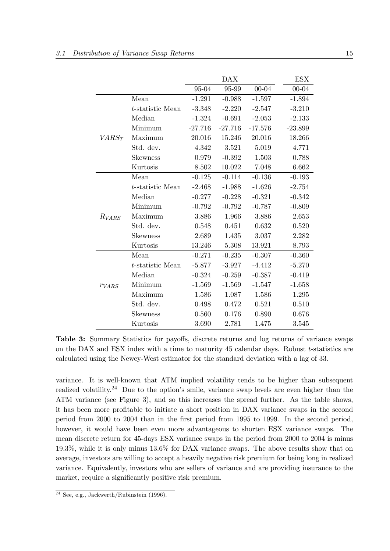|            |                     |           | <b>DAX</b> |           | <b>ESX</b> |
|------------|---------------------|-----------|------------|-----------|------------|
|            |                     | 95-04     | 95-99      | $00 - 04$ | $00 - 04$  |
|            | Mean                | $-1.291$  | $-0.988$   | $-1.597$  | $-1.894$   |
|            | t-statistic Mean    | $-3.348$  | $-2.220$   | $-2.547$  | $-3.210$   |
|            | Median              | $-1.324$  | $-0.691$   | $-2.053$  | $-2.133$   |
|            | Minimum             | $-27.716$ | $-27.716$  | $-17.576$ | $-23.899$  |
| $VARS_T$   | Maximum             | 20.016    | 15.246     | 20.016    | 18.266     |
|            | Std. dev.           | 4.342     | 3.521      | 5.019     | 4.771      |
|            | <b>Skewness</b>     | 0.979     | $-0.392$   | 1.503     | 0.788      |
|            | Kurtosis            | 8.502     | 10.022     | 7.048     | 6.662      |
|            | Mean                | $-0.125$  | $-0.114$   | $-0.136$  | $-0.193$   |
|            | $t$ -statistic Mean | $-2.468$  | $-1.988$   | $-1.626$  | $-2.754$   |
|            | Median              | $-0.277$  | $-0.228$   | $-0.321$  | $-0.342$   |
|            | Minimum             | $-0.792$  | $-0.792$   | $-0.787$  | $-0.809$   |
| $R_{VARS}$ | Maximum             | 3.886     | 1.966      | 3.886     | 2.653      |
|            | Std. dev.           | 0.548     | 0.451      | 0.632     | 0.520      |
|            | <b>Skewness</b>     | 2.689     | 1.435      | 3.037     | 2.282      |
|            | Kurtosis            | 13.246    | 5.308      | 13.921    | 8.793      |
|            | Mean                | $-0.271$  | $-0.235$   | $-0.307$  | $-0.360$   |
|            | $t$ -statistic Mean | $-5.877$  | $-3.927$   | $-4.412$  | $-5.270$   |
|            | Median              | $-0.324$  | $-0.259$   | $-0.387$  | $-0.419$   |
| $r_{VARS}$ | Minimum             | $-1.569$  | $-1.569$   | $-1.547$  | $-1.658$   |
|            | Maximum             | 1.586     | 1.087      | 1.586     | 1.295      |
|            | Std. dev.           | 0.498     | 0.472      | 0.521     | 0.510      |
|            | <b>Skewness</b>     | 0.560     | 0.176      | 0.890     | 0.676      |
|            | Kurtosis            | 3.690     | 2.781      | 1.475     | 3.545      |

Table 3: Summary Statistics for payoffs, discrete returns and log returns of variance swaps on the DAX and ESX index with a time to maturity  $45$  calendar days. Robust t-statistics are calculated using the Newey-West estimator for the standard deviation with a lag of 33.

variance. It is well-known that ATM implied volatility tends to be higher than subsequent realized volatility.<sup>24</sup> Due to the option's smile, variance swap levels are even higher than the ATM variance (see Figure 3), and so this increases the spread further. As the table shows, it has been more profitable to initiate a short position in DAX variance swaps in the second period from 2000 to 2004 than in the first period from 1995 to 1999. In the second period, however, it would have been even more advantageous to shorten ESX variance swaps. The mean discrete return for 45-days ESX variance swaps in the period from 2000 to 2004 is minus 19.3%, while it is only minus 13.6% for DAX variance swaps. The above results show that on average, investors are willing to accept a heavily negative risk premium for being long in realized variance. Equivalently, investors who are sellers of variance and are providing insurance to the market, require a significantly positive risk premium.

 $24$  See, e.g., Jackwerth/Rubinstein (1996).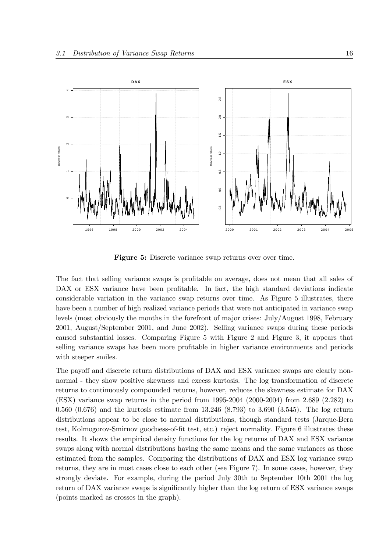

Figure 5: Discrete variance swap returns over over time.

The fact that selling variance swaps is profitable on average, does not mean that all sales of DAX or ESX variance have been profitable. In fact, the high standard deviations indicate considerable variation in the variance swap returns over time. As Figure 5 illustrates, there have been a number of high realized variance periods that were not anticipated in variance swap levels (most obviously the months in the forefront of major crises: July/August 1998, February 2001, August/September 2001, and June 2002). Selling variance swaps during these periods caused substantial losses. Comparing Figure 5 with Figure 2 and Figure 3, it appears that selling variance swaps has been more profitable in higher variance environments and periods with steeper smiles.

The payoff and discrete return distributions of DAX and ESX variance swaps are clearly nonnormal - they show positive skewness and excess kurtosis. The log transformation of discrete returns to continuously compounded returns, however, reduces the skewness estimate for DAX (ESX) variance swap returns in the period from 1995-2004 (2000-2004) from 2.689 (2.282) to 0.560 (0.676) and the kurtosis estimate from 13.246 (8.793) to 3.690 (3.545). The log return distributions appear to be close to normal distributions, though standard tests (Jarque-Bera test, Kolmogorov-Smirnov goodness-of-fit test, etc.) reject normality. Figure 6 illustrates these results. It shows the empirical density functions for the log returns of DAX and ESX variance swaps along with normal distributions having the same means and the same variances as those estimated from the samples. Comparing the distributions of DAX and ESX log variance swap returns, they are in most cases close to each other (see Figure 7). In some cases, however, they strongly deviate. For example, during the period July 30th to September 10th 2001 the log return of DAX variance swaps is significantly higher than the log return of ESX variance swaps (points marked as crosses in the graph).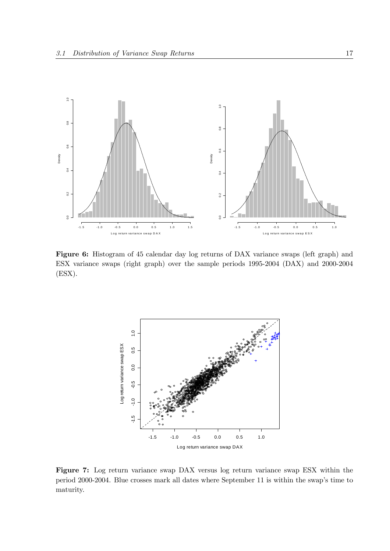

Figure 6: Histogram of 45 calendar day log returns of DAX variance swaps (left graph) and ESX variance swaps (right graph) over the sample periods 1995-2004 (DAX) and 2000-2004 (ESX).



Figure 7: Log return variance swap DAX versus log return variance swap ESX within the period 2000-2004. Blue crosses mark all dates where September 11 is within the swap's time to maturity.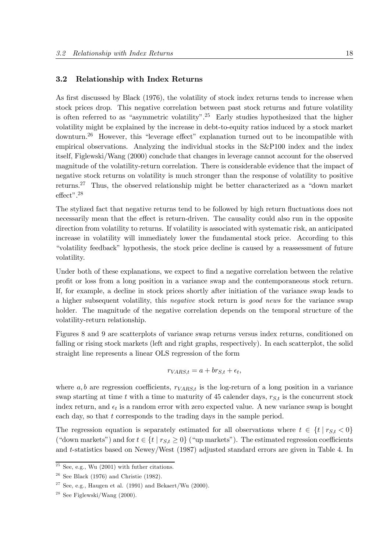#### 3.2 Relationship with Index Returns

As first discussed by Black (1976), the volatility of stock index returns tends to increase when stock prices drop. This negative correlation between past stock returns and future volatility is often referred to as "asymmetric volatility".<sup>25</sup> Early studies hypothesized that the higher volatility might be explained by the increase in debt-to-equity ratios induced by a stock market downturn.<sup>26</sup> However, this "leverage effect" explanation turned out to be incompatible with empirical observations. Analyzing the individual stocks in the S&P100 index and the index itself, Figlewski/Wang (2000) conclude that changes in leverage cannot account for the observed magnitude of the volatility-return correlation. There is considerable evidence that the impact of negative stock returns on volatility is much stronger than the response of volatility to positive returns.<sup>27</sup> Thus, the observed relationship might be better characterized as a "down market effect".<sup>28</sup>

The stylized fact that negative returns tend to be followed by high return fluctuations does not necessarily mean that the effect is return-driven. The causality could also run in the opposite direction from volatility to returns. If volatility is associated with systematic risk, an anticipated increase in volatility will immediately lower the fundamental stock price. According to this "volatility feedback" hypothesis, the stock price decline is caused by a reassessment of future volatility.

Under both of these explanations, we expect to find a negative correlation between the relative profit or loss from a long position in a variance swap and the contemporaneous stock return. If, for example, a decline in stock prices shortly after initiation of the variance swap leads to a higher subsequent volatility, this *negative* stock return is good news for the variance swap holder. The magnitude of the negative correlation depends on the temporal structure of the volatility-return relationship.

Figures 8 and 9 are scatterplots of variance swap returns versus index returns, conditioned on falling or rising stock markets (left and right graphs, respectively). In each scatterplot, the solid straight line represents a linear OLS regression of the form

$$
r_{VARS,t} = a + br_{S,t} + \epsilon_t,
$$

where  $a, b$  are regression coefficients,  $r_{VARS,t}$  is the log-return of a long position in a variance swap starting at time t with a time to maturity of 45 calender days,  $r_{S,t}$  is the concurrent stock index return, and  $\epsilon_t$  is a random error with zero expected value. A new variance swap is bought each day, so that t corresponds to the trading days in the sample period.

The regression equation is separately estimated for all observations where  $t \in \{t \mid r_{S,t} < 0\}$ ("down markets") and for  $t \in \{t \mid r_{S,t} \geq 0\}$  ("up markets"). The estimated regression coefficients and t-statistics based on Newey/West (1987) adjusted standard errors are given in Table 4. In

 $25$  See, e.g., Wu (2001) with futher citations.

 $26$  See Black (1976) and Christie (1982).

<sup>&</sup>lt;sup>27</sup> See, e.g., Haugen et al. (1991) and Bekaert/Wu (2000).

 $28$  See Figlewski/Wang (2000).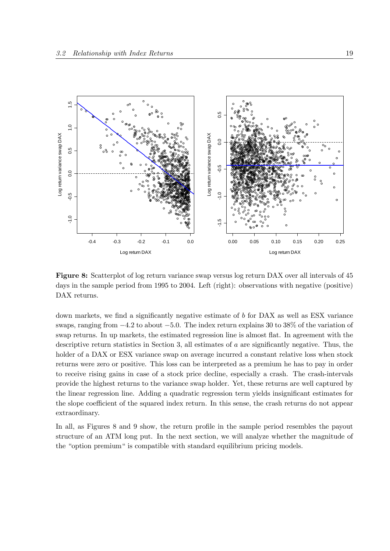

Figure 8: Scatterplot of log return variance swap versus log return DAX over all intervals of 45 days in the sample period from 1995 to 2004. Left (right): observations with negative (positive) DAX returns.

down markets, we find a significantly negative estimate of b for DAX as well as ESX variance swaps, ranging from  $-4.2$  to about  $-5.0$ . The index return explains 30 to 38% of the variation of swap returns. In up markets, the estimated regression line is almost flat. In agreement with the descriptive return statistics in Section 3, all estimates of a are significantly negative. Thus, the holder of a DAX or ESX variance swap on average incurred a constant relative loss when stock returns were zero or positive. This loss can be interpreted as a premium he has to pay in order to receive rising gains in case of a stock price decline, especially a crash. The crash-intervals provide the highest returns to the variance swap holder. Yet, these returns are well captured by the linear regression line. Adding a quadratic regression term yields insignificant estimates for the slope coefficient of the squared index return. In this sense, the crash returns do not appear extraordinary.

In all, as Figures 8 and 9 show, the return profile in the sample period resembles the payout structure of an ATM long put. In the next section, we will analyze whether the magnitude of the "option premium" is compatible with standard equilibrium pricing models.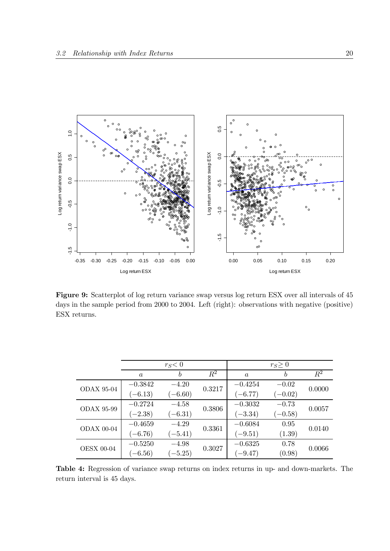

Figure 9: Scatterplot of log return variance swap versus log return ESX over all intervals of 45 days in the sample period from 2000 to 2004. Left (right): observations with negative (positive) ESX returns.

|                   |                | $r_S < 0$        |        |                | $r_S \geq 0$ |                |  |
|-------------------|----------------|------------------|--------|----------------|--------------|----------------|--|
|                   | $\mathfrak{a}$ | $\boldsymbol{b}$ | $R^2$  | $\overline{a}$ | b            | $\mathbb{R}^2$ |  |
|                   | $-0.3842$      | $-4.20$          | 0.3217 | $-0.4254$      | $-0.02$      | 0.0000         |  |
| <b>ODAX 95-04</b> | $(-6.13)$      | $(-6.60)$        |        | $(-6.77)$      | $(-0.02)$    |                |  |
| <b>ODAX 95-99</b> | $-0.2724$      | $-4.58$          | 0.3806 | $-0.3032$      | $-0.73$      | 0.0057         |  |
|                   | $(-2.38)$      | $(-6.31)$        |        | $(-3.34)$      | $-0.58)$     |                |  |
| <b>ODAX 00-04</b> | $-0.4659$      | $-4.29$          | 0.3361 | $-0.6084$      | 0.95         | 0.0140         |  |
|                   | $(-6.76)$      | $(-5.41)$        |        | $(-9.51)$      | (1.39)       |                |  |
| <b>OESX 00-04</b> | $-0.5250$      | $-4.98$          | 0.3027 | $-0.6325$      | 0.78         | 0.0066         |  |
|                   | $(-6.56)$      | $-5.25$          |        | $(-9.47)$      | (0.98)       |                |  |

Table 4: Regression of variance swap returns on index returns in up- and down-markets. The return interval is 45 days.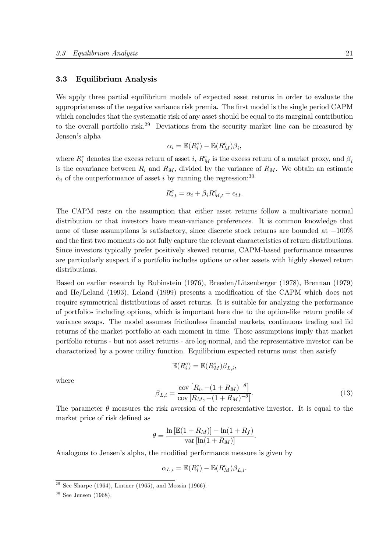### 3.3 Equilibrium Analysis

We apply three partial equilibrium models of expected asset returns in order to evaluate the appropriateness of the negative variance risk premia. The first model is the single period CAPM which concludes that the systematic risk of any asset should be equal to its marginal contribution to the overall portfolio risk.<sup>29</sup> Deviations from the security market line can be measured by Jensen's alpha

$$
\alpha_i = \mathbb{E}(R_i^e) - \mathbb{E}(R_M^e)\beta_i,
$$

where  $R_i^e$  denotes the excess return of asset *i*,  $R_M^e$  is the excess return of a market proxy, and  $\beta_i$ is the covariance between  $R_i$  and  $R_M$ , divided by the variance of  $R_M$ . We obtain an estimate  $\hat{\alpha}_i$  of the outperformance of asset i by running the regression:<sup>30</sup>

$$
R_{i,t}^e = \alpha_i + \beta_i R_{M,t}^e + \epsilon_{i,t}.
$$

The CAPM rests on the assumption that either asset returns follow a multivariate normal distribution or that investors have mean-variance preferences. It is common knowledge that none of these assumptions is satisfactory, since discrete stock returns are bounded at  $-100\%$ and the first two moments do not fully capture the relevant characteristics of return distributions. Since investors typically prefer positively skewed returns, CAPM-based performance measures are particularly suspect if a portfolio includes options or other assets with highly skewed return distributions.

Based on earlier research by Rubinstein (1976), Breeden/Litzenberger (1978), Brennan (1979) and He/Leland (1993), Leland (1999) presents a modification of the CAPM which does not require symmetrical distributions of asset returns. It is suitable for analyzing the performance of portfolios including options, which is important here due to the option-like return profile of variance swaps. The model assumes frictionless financial markets, continuous trading and iid returns of the market portfolio at each moment in time. These assumptions imply that market portfolio returns - but not asset returns - are log-normal, and the representative investor can be characterized by a power utility function. Equilibrium expected returns must then satisfy

$$
\mathbb{E}(R_i^e) = \mathbb{E}(R_M^e)\beta_{L,i},
$$

where

$$
\beta_{L,i} = \frac{\text{cov}\left[R_i, -(1 + R_M)^{-\theta}\right]}{\text{cov}\left[R_M, -(1 + R_M)^{-\theta}\right]}.
$$
\n(13)

The parameter  $\theta$  measures the risk aversion of the representative investor. It is equal to the market price of risk defined as

$$
\theta = \frac{\ln \left[\mathbb{E}(1 + R_M)\right] - \ln(1 + R_f)}{\text{var}\left[\ln(1 + R_M)\right]}.
$$

Analogous to Jensen's alpha, the modified performance measure is given by

$$
\alpha_{L,i} = \mathbb{E}(R_i^e) - \mathbb{E}(R_M^e)\beta_{L,i}.
$$

<sup>&</sup>lt;sup>29</sup> See Sharpe (1964), Lintner (1965), and Mossin (1966).

 $30$  See Jensen (1968).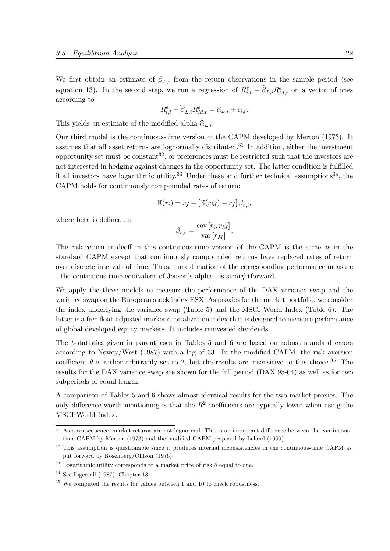We first obtain an estimate of  $\beta_{L,i}$  from the return observations in the sample period (see equation 13). In the second step, we run a regression of  $R_{i,t}^e - \hat{\beta}_{L,i} R_{M,t}^e$  on a vector of ones according to

$$
R_{i,t}^e - \widehat{\beta}_{L,i} R_{M,t}^e = \widehat{\alpha}_{L,i} + \epsilon_{i,t}.
$$

This yields an estimate of the modified alpha  $\hat{\alpha}_{L,i}$ .

Our third model is the continuous-time version of the CAPM developed by Merton (1973). It assumes that all asset returns are lognormally distributed.<sup>31</sup> In addition, either the investment opportunity set must be constant<sup>32</sup>, or preferences must be restricted such that the investors are not interested in hedging against changes in the opportunity set. The latter condition is fulfilled if all investors have logarithmic utility.<sup>33</sup> Under these and further technical assumptions<sup>34</sup>, the CAPM holds for continuously compounded rates of return:

$$
\mathbb{E}(r_i) = r_f + \left[\mathbb{E}(r_M) - r_f\right]\beta_{c,i},
$$

where beta is defined as

$$
\beta_{c,i} = \frac{\text{cov}\left[r_i, r_M\right]}{\text{var}\left[r_M\right]}.
$$

The risk-return tradeoff in this continuous-time version of the CAPM is the same as in the standard CAPM except that continuously compounded returns have replaced rates of return over discrete intervals of time. Thus, the estimation of the corresponding performance measure - the continuous-time equivalent of Jensen's alpha - is straightforward.

We apply the three models to measure the performance of the DAX variance swap and the variance swap on the European stock index ESX. As proxies for the market portfolio, we consider the index underlying the variance swap (Table 5) and the MSCI World Index (Table 6). The latter is a free float-adjusted market capitalization index that is designed to measure performance of global developed equity markets. It includes reinvested dividends.

The t-statistics given in parentheses in Tables 5 and 6 are based on robust standard errors according to Newey/West (1987) with a lag of 33. In the modified CAPM, the risk aversion coefficient  $\theta$  is rather arbitrarily set to 2, but the results are insensitive to this choice.<sup>35</sup> The results for the DAX variance swap are shown for the full period (DAX 95-04) as well as for two subperiods of equal length.

A comparison of Tables 5 and 6 shows almost identical results for the two market proxies. The only difference worth mentioning is that the  $R^2$ -coefficients are typically lower when using the MSCI World Index.

<sup>&</sup>lt;sup>31</sup> As a consequence, market returns are not lognormal. This is an important difference between the continuoustime CAPM by Merton (1973) and the modified CAPM proposed by Leland (1999).

<sup>&</sup>lt;sup>32</sup> This assumption is questionable since it produces internal inconsistencies in the continuous-time CAPM as put forward by Rosenberg/Ohlson (1976).

<sup>&</sup>lt;sup>33</sup> Logarithmic utility corresponds to a market price of risk  $\theta$  equal to one.

 $34$  See Ingersoll (1987), Chapter 13.

 $35$  We computed the results for values between 1 and 10 to check robustness.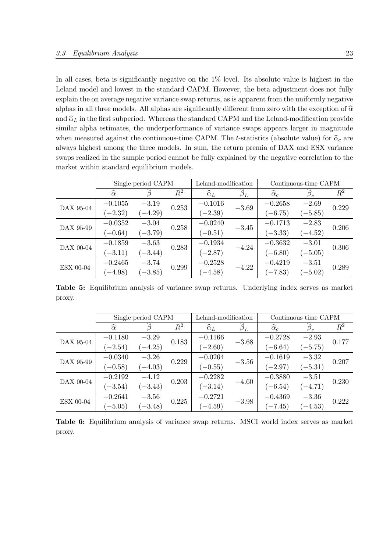In all cases, beta is significantly negative on the 1% level. Its absolute value is highest in the Leland model and lowest in the standard CAPM. However, the beta adjustment does not fully explain the on average negative variance swap returns, as is apparent from the uniformly negative alphas in all three models. All alphas are significantly different from zero with the exception of  $\hat{\alpha}$ and  $\hat{\alpha}_L$  in the first subperiod. Whereas the standard CAPM and the Leland-modification provide similar alpha estimates, the underperformance of variance swaps appears larger in magnitude when measured against the continuous-time CAPM. The t-statistics (absolute value) for  $\hat{\alpha}_c$  are always highest among the three models. In sum, the return premia of DAX and ESX variance swaps realized in the sample period cannot be fully explained by the negative correlation to the market within standard equilibrium models.

|           | Single period CAPM |           |                | Leland-modification  |           | Continuous-time CAPM |             |       |  |
|-----------|--------------------|-----------|----------------|----------------------|-----------|----------------------|-------------|-------|--|
|           | $\widehat{\alpha}$ |           | $\mathbb{R}^2$ | $\widehat{\alpha}_L$ | $\beta_L$ | $\widehat{\alpha}_c$ | $\beta_c^-$ | $R^2$ |  |
| DAX 95-04 | $-0.1055$          | $-3.19$   | 0.253          | $-0.1016$            | $-3.69$   | $-0.2658$            | $-2.69$     | 0.229 |  |
|           | $(-2.32)$          | $-4.29)$  |                | $(-2.39)$            |           | $(-6.75)$            | $(-5.85)$   |       |  |
| DAX 95-99 | $-0.0352$          | $-3.04$   | 0.258          | $-0.0240$            | $-3.45$   | $-0.1713$            | $-2.83$     | 0.206 |  |
|           | $(-0.64)$          | $-3.79)$  |                | $(-0.51)$            |           | $(-3.33)$            | $(-4.52)$   |       |  |
| DAX 00-04 | $-0.1859$          | $-3.63$   | 0.283          | $-0.1934$            | $-4.24$   | $-0.3632$            | $-3.01$     | 0.306 |  |
|           | $(-3.11)$          | $(-3.44)$ |                | $(-2.87)$            |           | $(-6.80)$            | $(-5.05)$   |       |  |
| ESX 00-04 | $-0.2465$          | $-3.74$   | 0.299          | $-0.2528$            | $-4.22$   | $-0.4219$            | $-3.51$     | 0.289 |  |
|           | $-4.98$            | $-3.85)$  |                | $-4.58)$             |           | $(-7.83)$            | $(-5.02)$   |       |  |

Table 5: Equilibrium analysis of variance swap returns. Underlying index serves as market proxy.

|                  | Single period CAPM |           |         | Leland-modification  |           | Continuous time CAPM |             |       |  |
|------------------|--------------------|-----------|---------|----------------------|-----------|----------------------|-------------|-------|--|
|                  | $\widehat{\alpha}$ |           | $\,R^2$ | $\widehat{\alpha}_L$ | $\beta_L$ | $\widehat{\alpha}_c$ | $\beta_c^-$ | $R^2$ |  |
| DAX 95-04        | $-0.1180$          | $-3.29$   | 0.183   | $-0.1166$            | $-3.68$   | $-0.2728$            | $-2.93$     | 0.177 |  |
|                  | $(-2.54)$          | $-4.25)$  |         | $(-2.60)$            |           | $(-6.64)$            | $(-5.75)$   |       |  |
| DAX 95-99        | $-0.0340$          | $-3.26$   | 0.229   | $-0.0264$            | $-3.56$   | $-0.1619$            | $-3.32$     | 0.207 |  |
|                  | $(-0.58)$          | $(-4.03)$ |         | $(-0.55)$            |           | $(-2.97)$            | $(-5.31)$   |       |  |
| DAX 00-04        | $-0.2192$          | $-4.12$   | 0.203   | $-0.2282$            | $-4.60$   | $-0.3880$            | $-3.51$     | 0.230 |  |
|                  | $(-3.54)$          | $-3.43)$  |         | $(-3.14)$            |           | $(-6.54)$            | $(-4.71)$   |       |  |
| <b>ESX 00-04</b> | $-0.2641$          | $-3.56$   | 0.225   | $-0.2721$            | $-3.98$   | $-0.4369$            | $-3.36$     | 0.222 |  |
|                  | $-5.05)$           | $(-3.48)$ |         | $(-4.59)$            |           | $(-7.45)$            | $(-4.53)$   |       |  |

Table 6: Equilibrium analysis of variance swap returns. MSCI world index serves as market proxy.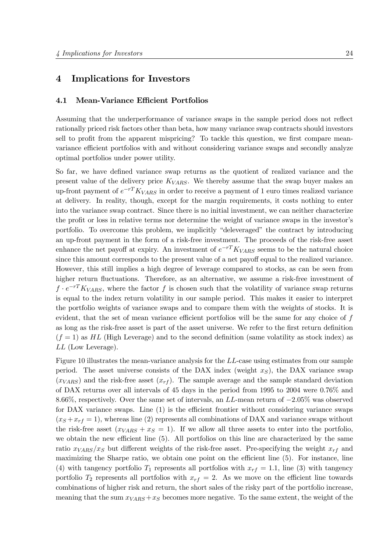# 4 Implications for Investors

#### 4.1 Mean-Variance Efficient Portfolios

Assuming that the underperformance of variance swaps in the sample period does not reflect rationally priced risk factors other than beta, how many variance swap contracts should investors sell to profit from the apparent mispricing? To tackle this question, we first compare meanvariance efficient portfolios with and without considering variance swaps and secondly analyze optimal portfolios under power utility.

So far, we have defined variance swap returns as the quotient of realized variance and the present value of the delivery price  $K_{VARS}$ . We thereby assume that the swap buyer makes an up-front payment of  $e^{-rT}K_{VARS}$  in order to receive a payment of 1 euro times realized variance at delivery. In reality, though, except for the margin requirements, it costs nothing to enter into the variance swap contract. Since there is no initial investment, we can neither characterize the profit or loss in relative terms nor determine the weight of variance swaps in the investor's portfolio. To overcome this problem, we implicitly "deleveraged" the contract by introducing an up-front payment in the form of a risk-free investment. The proceeds of the risk-free asset enhance the net payoff at expiry. An investment of  $e^{-rT}K_{VARS}$  seems to be the natural choice since this amount corresponds to the present value of a net payoff equal to the realized variance. However, this still implies a high degree of leverage compared to stocks, as can be seen from higher return fluctuations. Therefore, as an alternative, we assume a risk-free investment of  $f \cdot e^{-rT} K_{VARS}$ , where the factor f is chosen such that the volatility of variance swap returns is equal to the index return volatility in our sample period. This makes it easier to interpret the portfolio weights of variance swaps and to compare them with the weights of stocks. It is evident, that the set of mean variance efficient portfolios will be the same for any choice of  $f$ as long as the risk-free asset is part of the asset universe. We refer to the first return definition  $(f = 1)$  as HL (High Leverage) and to the second definition (same volatility as stock index) as LL (Low Leverage).

Figure 10 illustrates the mean-variance analysis for the LL-case using estimates from our sample period. The asset universe consists of the DAX index (weight  $x<sub>S</sub>$ ), the DAX variance swap  $(x_{VARS})$  and the risk-free asset  $(x_{rf})$ . The sample average and the sample standard deviation of DAX returns over all intervals of 45 days in the period from 1995 to 2004 were 0.76% and 8.66%, respectively. Over the same set of intervals, an LL-mean return of −2.05% was observed for DAX variance swaps. Line (1) is the efficient frontier without considering variance swaps  $(x<sub>S</sub>+x<sub>rf</sub> = 1)$ , whereas line (2) represents all combinations of DAX and variance swaps without the risk-free asset  $(x_{VARS} + x_S = 1)$ . If we allow all three assets to enter into the portfolio, we obtain the new efficient line (5). All portfolios on this line are characterized by the same ratio  $x_{VARS}/x_S$  but different weights of the risk-free asset. Pre-specifying the weight  $x_{rf}$  and maximizing the Sharpe ratio, we obtain one point on the efficient line (5). For instance, line (4) with tangency portfolio  $T_1$  represents all portfolios with  $x_{rf} = 1.1$ , line (3) with tangency portfolio  $T_2$  represents all portfolios with  $x_{rf} = 2$ . As we move on the efficient line towards combinations of higher risk and return, the short sales of the risky part of the portfolio increase, meaning that the sum  $x_{VARS} + x_S$  becomes more negative. To the same extent, the weight of the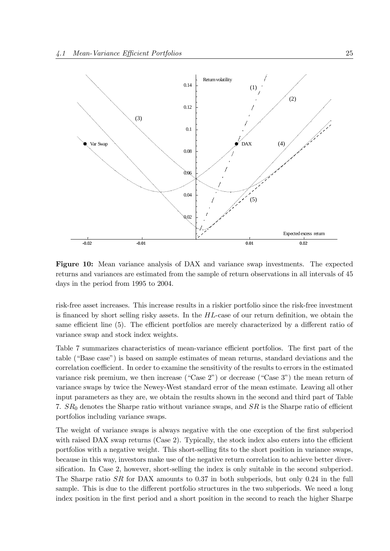

Figure 10: Mean variance analysis of DAX and variance swap investments. The expected returns and variances are estimated from the sample of return observations in all intervals of 45 days in the period from 1995 to 2004.

risk-free asset increases. This increase results in a riskier portfolio since the risk-free investment is financed by short selling risky assets. In the HL-case of our return definition, we obtain the same efficient line (5). The efficient portfolios are merely characterized by a different ratio of variance swap and stock index weights.

Table 7 summarizes characteristics of mean-variance efficient portfolios. The first part of the table ("Base case") is based on sample estimates of mean returns, standard deviations and the correlation coefficient. In order to examine the sensitivity of the results to errors in the estimated variance risk premium, we then increase ("Case 2") or decrease ("Case 3") the mean return of variance swaps by twice the Newey-West standard error of the mean estimate. Leaving all other input parameters as they are, we obtain the results shown in the second and third part of Table 7.  $SR<sub>0</sub>$  denotes the Sharpe ratio without variance swaps, and  $SR$  is the Sharpe ratio of efficient portfolios including variance swaps.

The weight of variance swaps is always negative with the one exception of the first subperiod with raised DAX swap returns (Case 2). Typically, the stock index also enters into the efficient portfolios with a negative weight. This short-selling fits to the short position in variance swaps, because in this way, investors make use of the negative return correlation to achieve better diversification. In Case 2, however, short-selling the index is only suitable in the second subperiod. The Sharpe ratio SR for DAX amounts to 0.37 in both subperiods, but only 0.24 in the full sample. This is due to the different portfolio structures in the two subperiods. We need a long index position in the first period and a short position in the second to reach the higher Sharpe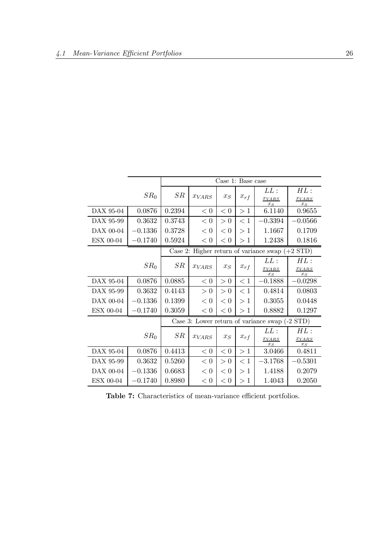|                  |                 | Case 1: Base case                              |            |       |          |                                                   |                               |  |
|------------------|-----------------|------------------------------------------------|------------|-------|----------|---------------------------------------------------|-------------------------------|--|
|                  | SR <sub>0</sub> | SR                                             | $x_{VARS}$ | $x_S$ | $x_{rf}$ | LL:<br>$x_{VARS}$<br>$x_S$                        | $HL$ :<br>$x_{VARS}$<br>$x_S$ |  |
| DAX 95-04        | 0.0876          | 0.2394                                         | < 0        | < 0   | >1       | 6.1140                                            | 0.9655                        |  |
| DAX 95-99        | 0.3632          | 0.3743                                         | < 0        | > 0   | < 1      | $-0.3394$                                         | $-0.0566$                     |  |
| DAX 00-04        | $-0.1336$       | 0.3728                                         | < 0        | < 0   | >1       | 1.1667                                            | 0.1709                        |  |
| <b>ESX 00-04</b> | $-0.1740$       | 0.5924                                         | < 0        | < 0   | >1       | 1.2438                                            | 0.1816                        |  |
|                  |                 |                                                |            |       |          | Case 2: Higher return of variance swap $(+2$ STD) |                               |  |
|                  | SR <sub>0</sub> | SR                                             |            |       | $x_{rf}$ | LL:                                               | $HL$ :                        |  |
|                  |                 |                                                | $x_{VARS}$ | $x_S$ |          | $x_{VARS}$<br>$x_S$                               | $x_{VARS}$<br>$x_S$           |  |
| DAX 95-04        | 0.0876          | 0.0885                                         | < 0        | > 0   | < 1      | $-0.1888$                                         | $-0.0298$                     |  |
| DAX 95-99        | 0.3632          | 0.4143                                         | > 0        | > 0   | $<$ 1    | 0.4814                                            | 0.0803                        |  |
| DAX 00-04        | $-0.1336$       | 0.1399                                         | < 0        | < 0   | >1       | 0.3055                                            | 0.0448                        |  |
| <b>ESX 00-04</b> | $-0.1740$       | 0.3059                                         | < 0        | < 0   | >1       | 0.8882                                            | 0.1297                        |  |
|                  |                 | Case 3: Lower return of variance swap (-2 STD) |            |       |          |                                                   |                               |  |
|                  | SR <sub>0</sub> | SR                                             |            |       |          | LL:                                               | $HL$ :                        |  |
|                  |                 |                                                | $x_{VARS}$ | $x_S$ | $x_{rf}$ | $x_{VARS}$<br>$x_S$                               | $x_{VARS}$<br>$x_S$           |  |
| DAX 95-04        | 0.0876          | 0.4413                                         | < 0        | < 0   | >1       | 3.0466                                            | 0.4811                        |  |
| DAX 95-99        | 0.3632          | 0.5260                                         | < 0        | > 0   | < 1      | $-3.1768$                                         | $-0.5301$                     |  |
| DAX 00-04        | $-0.1336$       | 0.6683                                         | < 0        | < 0   | >1       | 1.4188                                            | 0.2079                        |  |
| <b>ESX 00-04</b> | $-0.1740$       | 0.8980                                         | < 0        | < 0   | >1       | 1.4043                                            | 0.2050                        |  |

Table 7: Characteristics of mean-variance efficient portfolios.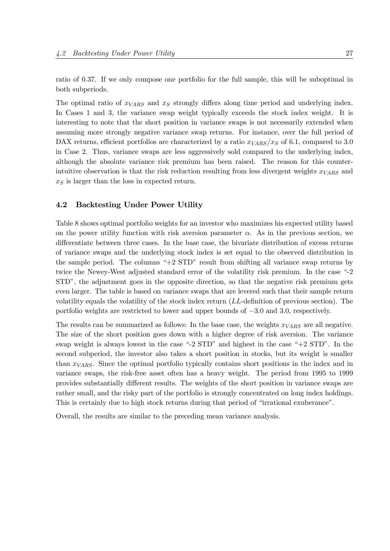ratio of 0.37. If we only compose one portfolio for the full sample, this will be suboptimal in both subperiods.

The optimal ratio of  $x_{VARS}$  and  $x_S$  strongly differs along time period and underlying index. In Cases 1 and 3, the variance swap weight typically exceeds the stock index weight. It is interesting to note that the short position in variance swaps is not necessarily extended when assuming more strongly negative variance swap returns. For instance, over the full period of DAX returns, efficient portfolios are characterized by a ratio  $x_{VARS}/x_S$  of 6.1, compared to 3.0 in Case 2. Thus, variance swaps are less aggressively sold compared to the underlying index, although the absolute variance risk premium has been raised. The reason for this counterintuitive observation is that the risk reduction resulting from less divergent weights  $x_{VARS}$  and  $x<sub>S</sub>$  is larger than the loss in expected return.

## 4.2 Backtesting Under Power Utility

Table 8 shows optimal portfolio weights for an investor who maximizes his expected utility based on the power utility function with risk aversion parameter  $\alpha$ . As in the previous section, we differentiate between three cases. In the base case, the bivariate distribution of excess returns of variance swaps and the underlying stock index is set equal to the observed distribution in the sample period. The columns "+2 STD" result from shifting all variance swap returns by twice the Newey-West adjusted standard error of the volatility risk premium. In the case "-2 STD", the adjustment goes in the opposite direction, so that the negative risk premium gets even larger. The table is based on variance swaps that are levered such that their sample return volatility equals the volatility of the stock index return  $(LL$ -definition of previous section). The portfolio weights are restricted to lower and upper bounds of −3.0 and 3.0, respectively.

The results can be summarized as follows: In the base case, the weights  $x_{VARS}$  are all negative. The size of the short position goes down with a higher degree of risk aversion. The variance swap weight is always lowest in the case " $-2$  STD" and highest in the case " $+2$  STD". In the second subperiod, the investor also takes a short position in stocks, but its weight is smaller than  $x_{VARS}$ . Since the optimal portfolio typically contains short positions in the index and in variance swaps, the risk-free asset often has a heavy weight. The period from 1995 to 1999 provides substantially different results. The weights of the short position in variance swaps are rather small, and the risky part of the portfolio is strongly concentrated on long index holdings. This is certainly due to high stock returns during that period of "irrational exuberance".

Overall, the results are similar to the preceding mean variance analysis.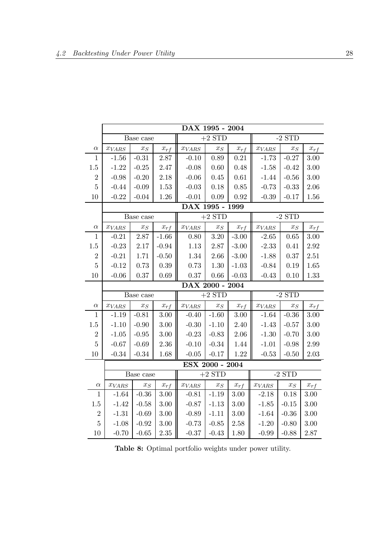|                | DAX 1995 - 2004 |                    |          |                 |                    |                       |            |          |          |  |  |
|----------------|-----------------|--------------------|----------|-----------------|--------------------|-----------------------|------------|----------|----------|--|--|
|                |                 | Base case          |          |                 | $+2$ STD           |                       |            | $-2$ STD |          |  |  |
| $\alpha$       | $x_{VARS}$      | $\boldsymbol{x}_S$ | $x_{rf}$ | $x_{VARS}$      | $x_S$              | $x_{rf}$              | $x_{VARS}$ | $x_S$    | $x_{rf}$ |  |  |
| $\mathbf{1}$   | $-1.56$         | $-0.31$            | 2.87     | $-0.10$         | 0.89               | $0.21\,$              | $-1.73$    | $-0.27$  | 3.00     |  |  |
| 1.5            | $-1.22$         | $-0.25$            | 2.47     | $-0.08$         | 0.60               | 0.48                  | $-1.58$    | $-0.42$  | 3.00     |  |  |
| $\overline{2}$ | $-0.98$         | $-0.20$            | 2.18     | $-0.06$         | 0.45               | 0.61                  | $-1.44$    | $-0.56$  | 3.00     |  |  |
| $\bf 5$        | $-0.44$         | $-0.09$            | 1.53     | $-0.03$         | 0.18               | 0.85                  | $-0.73$    | $-0.33$  | 2.06     |  |  |
| 10             | $-0.22$         | $-0.04$            | 1.26     | $-0.01$         | 0.09               | 0.92                  | $-0.39$    | $-0.17$  | 1.56     |  |  |
|                |                 |                    |          | DAX 1995 - 1999 |                    |                       |            |          |          |  |  |
|                |                 | Base case          |          |                 | $+2$ STD           |                       |            | $-2$ STD |          |  |  |
| $\alpha$       | $x_{VARS}$      | $\boldsymbol{x}_S$ | $x_{rf}$ | $x_{VARS}$      | $\boldsymbol{x}_S$ | $x_{rf}$              | $x_{VARS}$ | $x_S$    | $x_{rf}$ |  |  |
| $\mathbf{1}$   | $-0.21$         | 2.87               | $-1.66$  | 0.80            | $3.20\,$           | $-3.00$               | $-2.65$    | 0.65     | 3.00     |  |  |
| 1.5            | $-0.23$         | 2.17               | $-0.94$  | $1.13\,$        | 2.87               | $-3.00$               | $-2.33$    | 0.41     | 2.92     |  |  |
| $\overline{2}$ | $-0.21$         | 1.71               | $-0.50$  | 1.34            | 2.66               | $-3.00$               | $-1.88$    | 0.37     | 2.51     |  |  |
| $\overline{5}$ | $-0.12$         | 0.73               | 0.39     | 0.73            | 1.30               | $-1.03$               | $-0.84$    | 0.19     | 1.65     |  |  |
| 10             | $-0.06$         | 0.37               | 0.69     | 0.37            | 0.66               | $-0.03$               | $-0.43$    | 0.10     | 1.33     |  |  |
|                |                 |                    |          | DAX 2000 - 2004 |                    |                       |            |          |          |  |  |
|                |                 |                    |          |                 |                    |                       |            |          |          |  |  |
|                |                 | Base case          |          |                 | $+2$ STD           |                       |            | $-2$ STD |          |  |  |
| $\alpha$       | $x_{VARS}$      | $\boldsymbol{x}_S$ | $x_{rf}$ | $x_{VARS}$      | $x_S$              | $x_{rf}$              | $x_{VARS}$ | $x_S$    | $x_{rf}$ |  |  |
| $\mathbf{1}$   | $-1.19$         | $-0.81$            | 3.00     | $-0.40$         | $-1.60$            | $3.00\,$              | $-1.64$    | $-0.36$  | 3.00     |  |  |
| 1.5            | $-1.10$         | $-0.90$            | 3.00     | $-0.30$         | $-1.10$            | 2.40                  | $-1.43$    | $-0.57$  | $3.00\,$ |  |  |
| $\overline{2}$ | $-1.05$         | $-0.95$            | 3.00     | $-0.23$         | $-0.83$            | 2.06                  | $-1.30$    | $-0.70$  | 3.00     |  |  |
| $\overline{5}$ | $-0.67$         | $-0.69$            | 2.36     | $-0.10$         | $-0.34$            | 1.44                  | $-1.01$    | $-0.98$  | 2.99     |  |  |
| $10\,$         | $-0.34$         | $-0.34$            | 1.68     | $-0.05$         | $-0.17$            | 1.22                  | $-0.53$    | $-0.50$  | 2.03     |  |  |
|                |                 |                    |          |                 | ESX 2000 - 2004    |                       |            |          |          |  |  |
|                |                 | Base case          |          |                 | $+2$ STD           |                       |            | $-2$ STD |          |  |  |
| $\alpha$       | $x_{VARS}$      | $\boldsymbol{x}_S$ | $x_{rf}$ | $x_{VARS}$      | $\boldsymbol{x}_S$ | $\boldsymbol{x}_{rf}$ | $x_{VARS}$ | $x_S$    | $x_{rf}$ |  |  |
| 1              | $-1.64$         | $-0.36$            | 3.00     | $-0.81$         | $-1.19$            | 3.00                  | $-2.18$    | 0.18     | 3.00     |  |  |
| 1.5            | $-1.42$         | $-0.58$            | 3.00     | $-0.87$         | $-1.13$            | 3.00                  | $-1.85$    | $-0.15$  | 3.00     |  |  |
| $\overline{2}$ | $-1.31$         | $-0.69$            | 3.00     | $-0.89$         | $-1.11$            | 3.00                  | $-1.64$    | $-0.36$  | 3.00     |  |  |
| $\overline{5}$ | $-1.08$         | $-0.92$            | 3.00     | $-0.73$         | $-0.85$            | $2.58\,$              | $-1.20$    | $-0.80$  | $3.00\,$ |  |  |

Table 8: Optimal portfolio weights under power utility.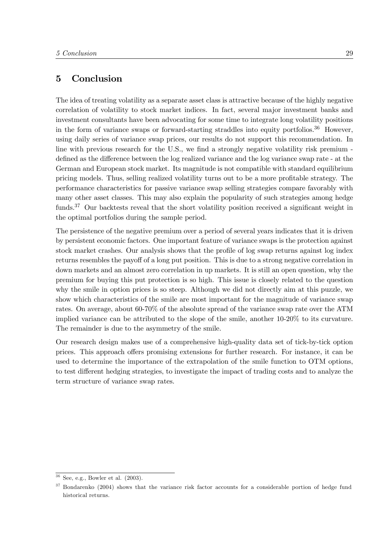# 5 Conclusion

The idea of treating volatility as a separate asset class is attractive because of the highly negative correlation of volatility to stock market indices. In fact, several major investment banks and investment consultants have been advocating for some time to integrate long volatility positions in the form of variance swaps or forward-starting straddles into equity portfolios.<sup>36</sup> However, using daily series of variance swap prices, our results do not support this recommendation. In line with previous research for the U.S., we find a strongly negative volatility risk premium defined as the difference between the log realized variance and the log variance swap rate - at the German and European stock market. Its magnitude is not compatible with standard equilibrium pricing models. Thus, selling realized volatility turns out to be a more profitable strategy. The performance characteristics for passive variance swap selling strategies compare favorably with many other asset classes. This may also explain the popularity of such strategies among hedge funds.<sup>37</sup> Our backtests reveal that the short volatility position received a significant weight in the optimal portfolios during the sample period.

The persistence of the negative premium over a period of several years indicates that it is driven by persistent economic factors. One important feature of variance swaps is the protection against stock market crashes. Our analysis shows that the profile of log swap returns against log index returns resembles the payoff of a long put position. This is due to a strong negative correlation in down markets and an almost zero correlation in up markets. It is still an open question, why the premium for buying this put protection is so high. This issue is closely related to the question why the smile in option prices is so steep. Although we did not directly aim at this puzzle, we show which characteristics of the smile are most important for the magnitude of variance swap rates. On average, about 60-70% of the absolute spread of the variance swap rate over the ATM implied variance can be attributed to the slope of the smile, another 10-20% to its curvature. The remainder is due to the asymmetry of the smile.

Our research design makes use of a comprehensive high-quality data set of tick-by-tick option prices. This approach offers promising extensions for further research. For instance, it can be used to determine the importance of the extrapolation of the smile function to OTM options, to test different hedging strategies, to investigate the impact of trading costs and to analyze the term structure of variance swap rates.

 $36$  See, e.g., Bowler et al.  $(2003)$ .

<sup>&</sup>lt;sup>37</sup> Bondarenko (2004) shows that the variance risk factor accounts for a considerable portion of hedge fund historical returns.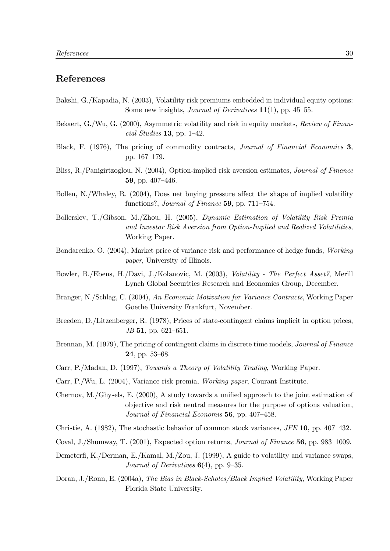# References

- Bakshi, G./Kapadia, N. (2003), Volatility risk premiums embedded in individual equity options: Some new insights, *Journal of Derivatives*  $11(1)$ , pp. 45–55.
- Bekaert, G./Wu, G. (2000), Asymmetric volatility and risk in equity markets, Review of Financial Studies 13, pp. 1–42.
- Black, F. (1976), The pricing of commodity contracts, Journal of Financial Economics 3, pp. 167—179.
- Bliss, R./Panigirtzoglou, N. (2004), Option-implied risk aversion estimates, Journal of Finance 59, pp. 407—446.
- Bollen, N./Whaley, R. (2004), Does net buying pressure affect the shape of implied volatility functions?, Journal of Finance 59, pp. 711—754.
- Bollerslev, T./Gibson, M./Zhou, H. (2005), Dynamic Estimation of Volatility Risk Premia and Investor Risk Aversion from Option-Implied and Realized Volatilities, Working Paper.
- Bondarenko, O. (2004), Market price of variance risk and performance of hedge funds, Working paper, University of Illinois.
- Bowler, B./Ebens, H./Davi, J./Kolanovic, M. (2003), Volatility The Perfect Asset?, Merill Lynch Global Securities Research and Economics Group, December.
- Branger, N./Schlag, C. (2004), An Economic Motivation for Variance Contracts, Working Paper Goethe University Frankfurt, November.
- Breeden, D./Litzenberger, R. (1978), Prices of state-contingent claims implicit in option prices, JB 51, pp. 621—651.
- Brennan, M. (1979), The pricing of contingent claims in discrete time models, Journal of Finance 24, pp. 53—68.
- Carr, P./Madan, D. (1997), Towards a Theory of Volatility Trading, Working Paper.
- Carr, P./Wu, L. (2004), Variance risk premia, Working paper, Courant Institute.
- Chernov, M./Ghysels, E. (2000), A study towards a unified approach to the joint estimation of objective and risk neutral measures for the purpose of options valuation, Journal of Financial Economis 56, pp. 407—458.
- Christie, A. (1982), The stochastic behavior of common stock variances, JFE 10, pp. 407—432.
- Coval, J./Shumway, T. (2001), Expected option returns, Journal of Finance 56, pp. 983—1009.
- Demeterfi, K./Derman, E./Kamal, M./Zou, J. (1999), A guide to volatility and variance swaps, Journal of Derivatives  $6(4)$ , pp. 9-35.
- Doran, J./Ronn, E. (2004a), The Bias in Black-Scholes/Black Implied Volatility, Working Paper Florida State University.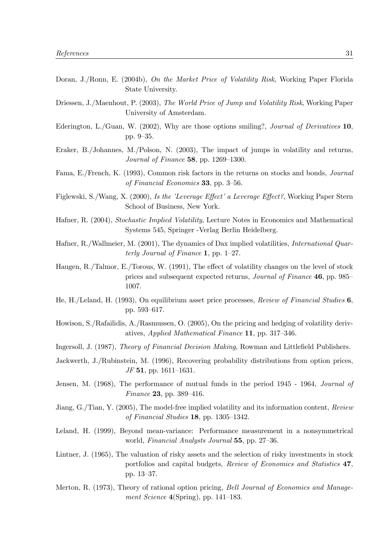- Doran, J./Ronn, E. (2004b), On the Market Price of Volatility Risk, Working Paper Florida State University.
- Driessen, J./Maenhout, P. (2003), The World Price of Jump and Volatility Risk, Working Paper University of Amsterdam.
- Ederington, L./Guan, W. (2002), Why are those options smiling?, Journal of Derivatives 10, pp. 9—35.
- Eraker, B./Johannes, M./Polson, N. (2003), The impact of jumps in volatility and returns, Journal of Finance 58, pp. 1269—1300.
- Fama, E./French, K. (1993), Common risk factors in the returns on stocks and bonds, Journal of Financial Economics 33, pp. 3—56.
- Figlewski, S./Wang, X. (2000), Is the 'Leverage Effect' a Leverage Effect?, Working Paper Stern School of Business, New York.
- Hafner, R. (2004), Stochastic Implied Volatility, Lecture Notes in Economics and Mathematical Systems 545, Springer -Verlag Berlin Heidelberg.
- Hafner, R./Wallmeier, M. (2001), The dynamics of Dax implied volatilities, *International Quar*terly Journal of Finance  $1$ , pp. 1-27.
- Haugen, R./Talmor, E./Torous, W. (1991), The effect of volatility changes on the level of stock prices and subsequent expected returns, Journal of Finance 46, pp. 985— 1007.
- He, H./Leland, H. (1993), On equilibrium asset price processes, Review of Financial Studies 6, pp. 593—617.
- Howison, S./Rafailidis, A./Rasmussen, O. (2005), On the pricing and hedging of volatility derivatives, Applied Mathematical Finance 11, pp. 317—346.
- Ingersoll, J. (1987), Theory of Financial Decision Making, Rowman and Littlefield Publishers.
- Jackwerth, J./Rubinstein, M. (1996), Recovering probability distributions from option prices, JF 51, pp. 1611—1631.
- Jensen, M. (1968), The performance of mutual funds in the period 1945 1964, Journal of Finance 23, pp. 389–416.
- Jiang, G./Tian, Y. (2005), The model-free implied volatility and its information content, Review of Financial Studies 18, pp. 1305—1342.
- Leland, H. (1999), Beyond mean-variance: Performance measurement in a nonsymmetrical world, Financial Analysts Journal 55, pp. 27—36.
- Lintner, J. (1965), The valuation of risky assets and the selection of risky investments in stock portfolios and capital budgets, Review of Economics and Statistics 47, pp. 13—37.
- Merton, R. (1973), Theory of rational option pricing, Bell Journal of Economics and Management Science 4(Spring), pp. 141–183.